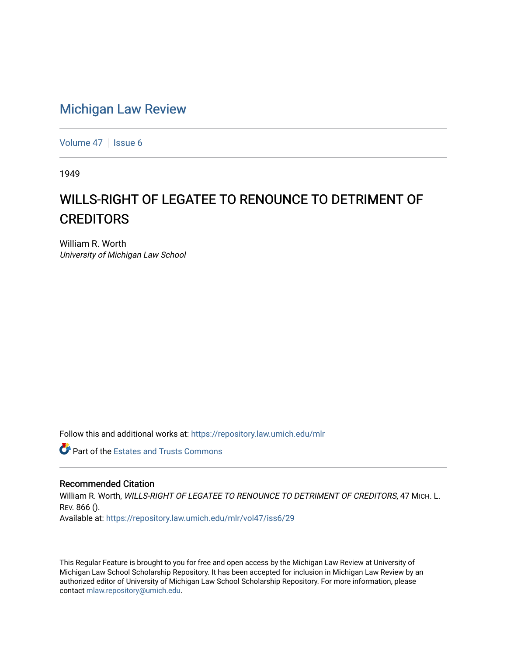## [Michigan Law Review](https://repository.law.umich.edu/mlr)

[Volume 47](https://repository.law.umich.edu/mlr/vol47) | [Issue 6](https://repository.law.umich.edu/mlr/vol47/iss6)

1949

## WILLS-RIGHT OF LEGATEE TO RENOUNCE TO DETRIMENT OF **CREDITORS**

William R. Worth University of Michigan Law School

Follow this and additional works at: [https://repository.law.umich.edu/mlr](https://repository.law.umich.edu/mlr?utm_source=repository.law.umich.edu%2Fmlr%2Fvol47%2Fiss6%2F29&utm_medium=PDF&utm_campaign=PDFCoverPages) 

**Part of the Estates and Trusts Commons** 

## Recommended Citation

William R. Worth, WILLS-RIGHT OF LEGATEE TO RENOUNCE TO DETRIMENT OF CREDITORS, 47 MICH. L. REV. 866 (). Available at: [https://repository.law.umich.edu/mlr/vol47/iss6/29](https://repository.law.umich.edu/mlr/vol47/iss6/29?utm_source=repository.law.umich.edu%2Fmlr%2Fvol47%2Fiss6%2F29&utm_medium=PDF&utm_campaign=PDFCoverPages) 

This Regular Feature is brought to you for free and open access by the Michigan Law Review at University of Michigan Law School Scholarship Repository. It has been accepted for inclusion in Michigan Law Review by an authorized editor of University of Michigan Law School Scholarship Repository. For more information, please contact [mlaw.repository@umich.edu](mailto:mlaw.repository@umich.edu).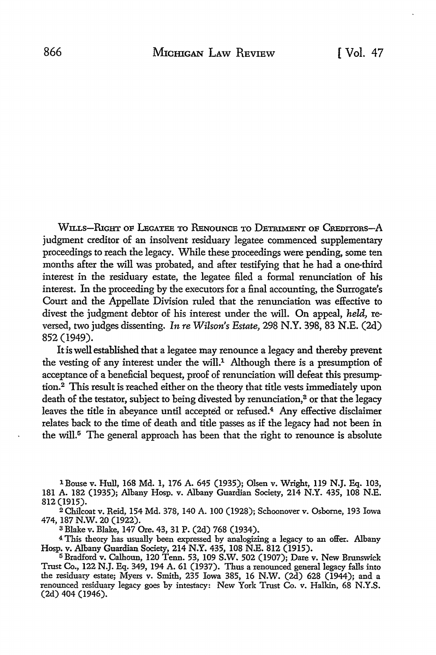Wu.Ls-RIGHT OF LEGATEE TO RENouNCE TO DETRIMENT oF CREDITORS-A judgment creditor of an insolvent residuary legatee commenced supplementary proceedings to reach the legacy. While these proceedings were pending, some ten months after the will was probated, and after testifying that he had a one-third interest in the residuary estate, the legatee filed a formal renunciation of his interest. In the proceeding by the executors for a final accounting, the Surrogate's Court and the Appellate Division ruled that the renunciation was effective to divest the judgment debtor of his interest under the will. On appeal, *held,* reversed, two judges dissenting. *In re Wilson's Estate,* 298 N.Y. 398, 83 N.E. (2d) 852 (1949).

It is well established that a legatee may renounce a legacy and thereby prevent the vesting of any interest under the will.<sup>1</sup> Although there is a presumption of acceptance of a beneficial bequest, proof of renunciation will defeat this presumption. 2 This result is reached either on the theory that title vests immediately upon death of the testator, subject to being divested by renunciation,<sup>3</sup> or that the legacy leaves the title in abeyance until accepted or refused.4 Any effective disclaimer relates back to the time of death and title passes as if the legacy had not been in the will.<sup> $5$ </sup> The general approach has been that the right to renounce is absolute

1 Bouse v. Hull, 168 Md. 1, 176 A. 645 (1935); Olsen v. Wright, 119 N.J. Eq. 103, 181 A. 182 (1935); Albany Hosp. v. Albany Guardian Society, 214 N.Y. 435, 108 N.E. 812 (1915).

<sup>2</sup>Chilcoat v. Reid, 154 Md. 378, 140 A. 100 (1928); Schoonover v. Osborne, 193 Iowa 474, 187 N.W. 20 (1922).

<sup>3</sup>Blake v. Blake, 147 Ore. 43, 31 P. (2d) 768 (1934).

4 This theory has usually been expressed by analogizing a legacy to an offer. Albany Hosp. v. Albany Guardian Society, 214 N.Y. 435, 108 N.E. 812 (1915).

<sup>5</sup>Bradford v. Calhoun, 120 Tenn. 53, 109 S.W. 502 (1907); Dare v. New Brunswick Trust Co., 122 N.J. Eq. 349, 194 A. 61 (1937). Thus a renounced general legacy falls into the residuary estate; Myers v. Smith, 235 Iowa 385, 16 N.W. (2d) 628 (1944); and a renounced residuary legacy goes by intestacy: New York Trust Co. v. Halkin, 68 N.Y.S. (2d) 404 (1946).